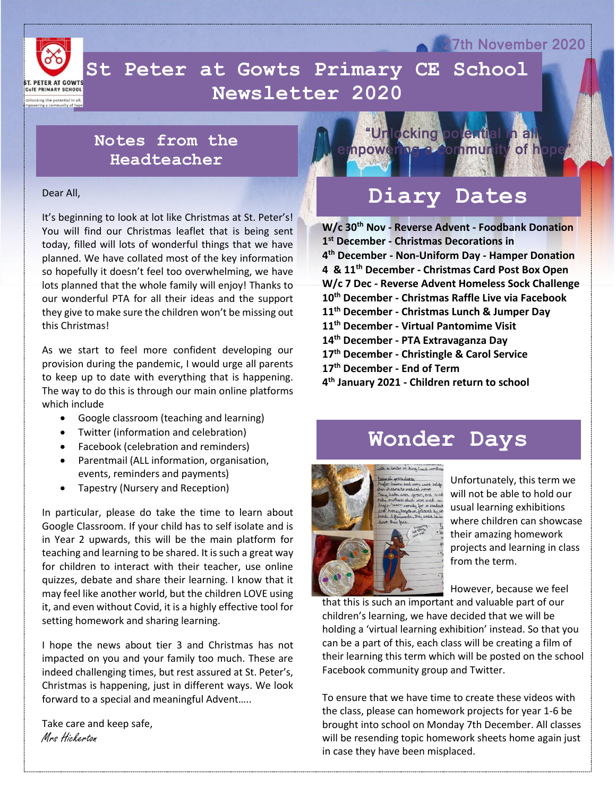

 **Newsletter 2020St Peter at Gowts Primary CE School** 

## **Notes from the Headteacher**

## Dear All,

It's beginning to look at lot like Christmas at St. Peter's! You will find our Christmas leaflet that is being sent today, filled will lots of wonderful things that we have planned. We have collated most of the key information so hopefully it doesn't feel too overwhelming, we have lots planned that the whole family will enjoy! Thanks to our wonderful PTA for all their ideas and the support they give to make sure the children won't be missing out this Christmas!

As we start to feel more confident developing our provision during the pandemic, I would urge all parents to keep up to date with everything that is happening. The way to do this is through our main online platforms which include

- Google classroom (teaching and learning)
- Twitter (information and celebration)
- Facebook (celebration and reminders)
- Parentmail (ALL information, organisation, events, reminders and payments)
- Tapestry (Nursery and Reception)

In particular, please do take the time to learn about Google Classroom. If your child has to self isolate and is in Year 2 upwards, this will be the main platform for teaching and learning to be shared. It is such a great way for children to interact with their teacher, use online quizzes, debate and share their learning. I know that it may feel like another world, but the children LOVE using it, and even without Covid, it is a highly effective tool for setting homework and sharing learning.

I hope the news about tier 3 and Christmas has not impacted on you and your family too much. These are indeed challenging times, but rest assured at St. Peter's, Christmas is happening, just in different ways. We look forward to a special and meaningful Advent…..

Take care and keep safe, Mrs Hickerton



**27th November 2020** 

## **Diary Dates**

**W/c 30th Nov - Reverse Advent - Foodbank Donation st December - Christmas Decorations in th December - Non-Uniform Day - Hamper Donation 4 & 11th December - Christmas Card Post Box Open W/c 7 Dec - Reverse Advent Homeless Sock Challenge th December - Christmas Raffle Live via Facebook th December - Christmas Lunch & Jumper Day th December - Virtual Pantomime Visit th December - PTA Extravaganza Day th December - Christingle & Carol Service th December - End of Term th January 2021 - Children return to school**

## **Wonder Days**



Unfortunately, this term we will not be able to hold our usual learning exhibitions where children can showcase their amazing homework projects and learning in class from the term.

However, because we feel

that this is such an important and valuable part of our children's learning, we have decided that we will be holding a 'virtual learning exhibition' instead. So that you can be a part of this, each class will be creating a film of their learning this term which will be posted on the school Facebook community group and Twitter.

To ensure that we have time to create these videos with the class, please can homework projects for year 1-6 be brought into school on Monday 7th December. All classes will be resending topic homework sheets home again just in case they have been misplaced.